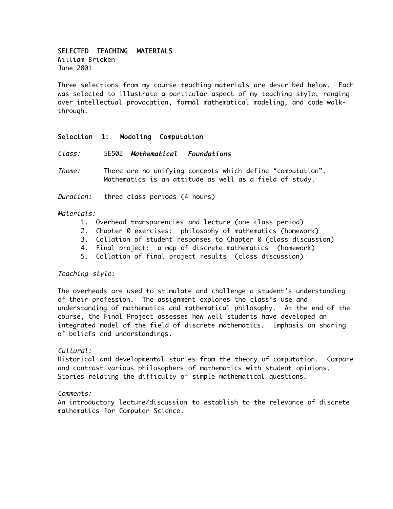# SELECTED TEACHING MATERIALS

William Bricken June 2001

Three selections from my course teaching materials are described below. Each was selected to illustrate a particular aspect of my teaching style, ranging over intellectual provocation, formal mathematical modeling, and code walkthrough.

# Selection 1: Modeling Computation

Class: SE502 Mathematical Foundations

Theme: There are no unifying concepts which define "computation". Mathematics is an attitude as well as a field of study.

Duration: three class periods (4 hours)

#### Materials:

- 1. Overhead transparencies and lecture (one class period)
- 2. Chapter 0 exercises: philosophy of mathematics (homework)
- 3. Collation of student responses to Chapter 0 (class discussion)
- 4. Final project: a map of discrete mathematics (homework)
- 5. Collation of final project results (class discussion)

#### Teaching style:

The overheads are used to stimulate and challenge a student's understanding of their profession. The assignment explores the class's use and understanding of mathematics and mathematical philosophy. At the end of the course, the Final Project assesses how well students have developed an integrated model of the field of discrete mathematics. Emphasis on sharing of beliefs and understandings.

#### Cultural:

Historical and developmental stories from the theory of computation. Compare and contrast various philosophers of mathematics with student opinions. Stories relating the difficulty of simple mathematical questions.

#### Comments:

An introductory lecture/discussion to establish to the relevance of discrete mathematics for Computer Science.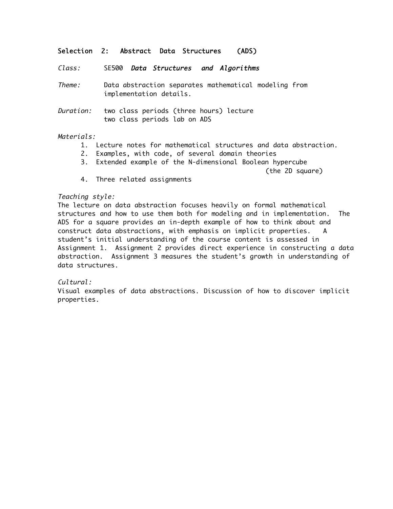# Selection 2: Abstract Data Structures (ADS)

Class: SE500 Data Structures and Algorithms

Theme: Data abstraction separates mathematical modeling from implementation details.

Duration: two class periods (three hours) lecture two class periods lab on ADS

## Materials:

- 1. Lecture notes for mathematical structures and data abstraction.
- 2. Examples, with code, of several domain theories
- 3. Extended example of the N-dimensional Boolean hypercube

(the 2D square)

4. Three related assignments

## Teaching style:

The lecture on data abstraction focuses heavily on formal mathematical structures and how to use them both for modeling and in implementation. The ADS for a square provides an in-depth example of how to think about and construct data abstractions, with emphasis on implicit properties. A student's initial understanding of the course content is assessed in Assignment 1. Assignment 2 provides direct experience in constructing a data abstraction. Assignment 3 measures the student's growth in understanding of data structures.

#### $C$ ultural:

Visual examples of data abstractions. Discussion of how to discover implicit properties.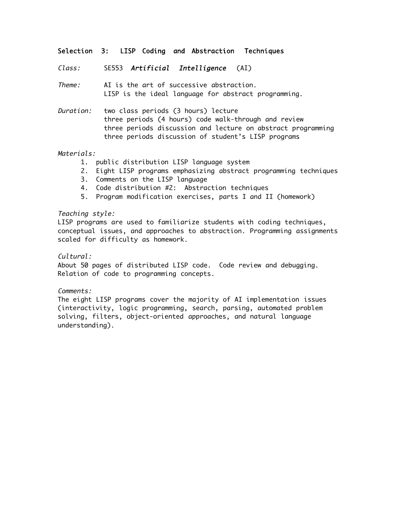# Selection 3: LISP Coding and Abstraction Techniques

Class: SE553 Artificial Intelligence (AI)

Theme: AI is the art of successive abstraction. LISP is the ideal language for abstract programming.

Duration: two class periods (3 hours) lecture three periods (4 hours) code walk-through and review three periods discussion and lecture on abstract programming three periods discussion of student's LISP programs

## Materials:

- 1. public distribution LISP language system
- 2. Eight LISP programs emphasizing abstract programming techniques
- 3. Comments on the LISP language
- 4. Code distribution #2: Abstraction techniques
- 5. Program modification exercises, parts I and II (homework)

#### Teaching style:

LISP programs are used to familiarize students with coding techniques, conceptual issues, and approaches to abstraction. Programming assignments scaled for difficulty as homework.

#### Cultural:

About 50 pages of distributed LISP code. Code review and debugging. Relation of code to programming concepts.

#### Comments:

The eight LISP programs cover the majority of AI implementation issues (interactivity, logic programming, search, parsing, automated problem solving, filters, object-oriented approaches, and natural language understanding).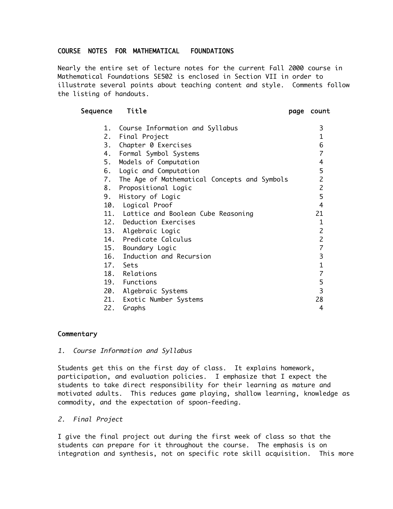# COURSE NOTES FOR MATHEMATICAL FOUNDATIONS

Nearly the entire set of lecture notes for the current Fall 2000 course in Mathematical Foundations SE502 is enclosed in Section VII in order to illustrate several points about teaching content and style. Comments follow the listing of handouts.

## Sequence Title **page count**

| 1. Course Information and Syllabus              | 3                |
|-------------------------------------------------|------------------|
| 2. Final Project                                | 1                |
| 3. Chapter 0 Exercises                          | 6                |
| 4. Formal Symbol Systems                        | $\overline{7}$   |
| 5. Models of Computation                        | 4                |
| 6. Logic and Computation                        | 5                |
| 7. The Age of Mathematical Concepts and Symbols | $\overline{c}$   |
| 8. Propositional Logic                          | $\overline{c}$   |
| History of Logic<br>9.                          | 5                |
| 10. Logical Proof                               | 4                |
| 11. Lattice and Boolean Cube Reasoning          | 21               |
| 12. Deduction Exercises                         | $\mathbf{1}$     |
| 13. Algebraic Logic                             | $\overline{2}$   |
| 14. Predicate Calculus                          | $\overline{c}$   |
| 15. Boundary Logic                              | $\boldsymbol{7}$ |
| 16. Induction and Recursion                     | $\overline{3}$   |
| 17. Sets                                        | $\mathbf 1$      |
| 18. Relations                                   | $\overline{7}$   |
| 19. Functions                                   | 5                |
| 20. Algebraic Systems                           | 3                |
| 21. Exotic Number Systems                       | 28               |
| 22.<br>Graphs                                   | 4                |

# **Commentary**

1. Course Information and Syllabus

Students get this on the first day of class. It explains homework, participation, and evaluation policies. I emphasize that I expect the students to take direct responsibility for their learning as mature and motivated adults. This reduces game playing, shallow learning, knowledge as commodity, and the expectation of spoon-feeding.

#### 2. Final Project

I give the final project out during the first week of class so that the students can prepare for it throughout the course. The emphasis is on integration and synthesis, not on specific rote skill acquisition. This more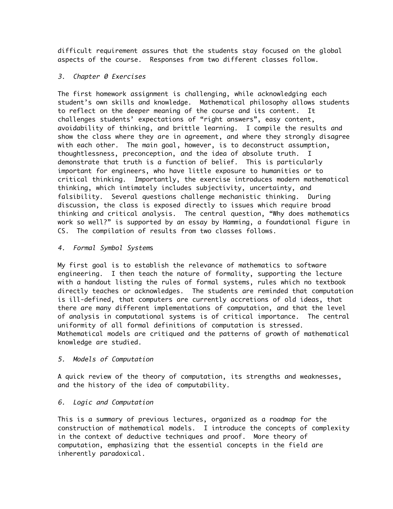difficult requirement assures that the students stay focused on the global aspects of the course. Responses from two different classes follow.

# 3. Chapter 0 Exercises

The first homework assignment is challenging, while acknowledging each student's own skills and knowledge. Mathematical philosophy allows students to reflect on the deeper meaning of the course and its content. It challenges students' expectations of "right answers", easy content, avoidability of thinking, and brittle learning. I compile the results and show the class where they are in agreement, and where they strongly disagree with each other. The main goal, however, is to deconstruct assumption, thoughtlessness, preconception, and the idea of absolute truth. I demonstrate that truth is a function of belief. This is particularly important for engineers, who have little exposure to humanities or to critical thinking. Importantly, the exercise introduces modern mathematical thinking, which intimately includes subjectivity, uncertainty, and falsibility. Several questions challenge mechanistic thinking. During discussion, the class is exposed directly to issues which require broad thinking and critical analysis. The central question, "Why does mathematics work so well?" is supported by an essay by Hamming, a foundational figure in CS. The compilation of results from two classes follows.

## 4. Formal Symbol Systems

My first goal is to establish the relevance of mathematics to software engineering. I then teach the nature of formality, supporting the lecture with a handout listing the rules of formal systems, rules which no textbook directly teaches or acknowledges. The students are reminded that computation is ill-defined, that computers are currently accretions of old ideas, that there are many different implementations of computation, and that the level of analysis in computational systems is of critical importance. The central uniformity of all formal definitions of computation is stressed. Mathematical models are critiqued and the patterns of growth of mathematical knowledge are studied.

# 5. Models of Computation

A quick review of the theory of computation, its strengths and weaknesses, and the history of the idea of computability.

# 6. Logic and Computation

This is a summary of previous lectures, organized as a roadmap for the construction of mathematical models. I introduce the concepts of complexity in the context of deductive techniques and proof. More theory of computation, emphasizing that the essential concepts in the field are inherently paradoxical.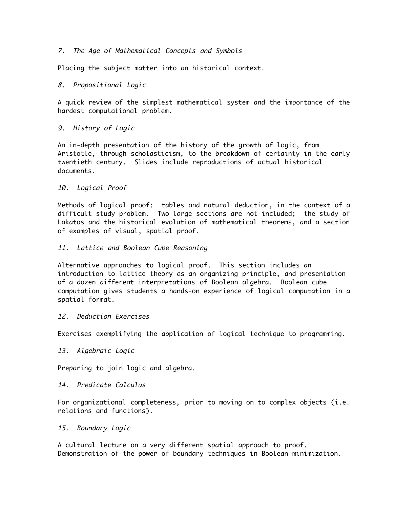## 7. The Age of Mathematical Concepts and Symbols

Placing the subject matter into an historical context.

## 8. Propositional Logic

A quick review of the simplest mathematical system and the importance of the hardest computational problem.

# 9. History of Logic

An in-depth presentation of the history of the growth of logic, from Aristotle, through scholasticism, to the breakdown of certainty in the early twentieth century. Slides include reproductions of actual historical documents.

## 10. Logical Proof

Methods of logical proof: tables and natural deduction, in the context of a difficult study problem. Two large sections are not included; the study of Lakatos and the historical evolution of mathematical theorems, and a section of examples of visual, spatial proof.

## 11. Lattice and Boolean Cube Reasoning

Alternative approaches to logical proof. This section includes an introduction to lattice theory as an organizing principle, and presentation of a dozen different interpretations of Boolean algebra. Boolean cube computation gives students a hands-on experience of logical computation in a spatial format.

# 12. Deduction Exercises

Exercises exemplifying the application of logical technique to programming.

#### 13. Algebraic Logic

Preparing to join logic and algebra.

# 14. Predicate Calculus

For organizational completeness, prior to moving on to complex objects (i.e. relations and functions).

## 15. Boundary Logic

A cultural lecture on a very different spatial approach to proof. Demonstration of the power of boundary techniques in Boolean minimization.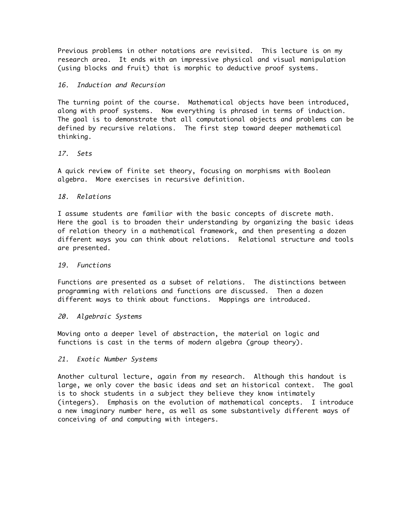Previous problems in other notations are revisited. This lecture is on my research area. It ends with an impressive physical and visual manipulation (using blocks and fruit) that is morphic to deductive proof systems.

## 16. Induction and Recursion

The turning point of the course. Mathematical objects have been introduced, along with proof systems. Now everything is phrased in terms of induction. The goal is to demonstrate that all computational objects and problems can be defined by recursive relations. The first step toward deeper mathematical thinking.

# 17. Sets

A quick review of finite set theory, focusing on morphisms with Boolean algebra. More exercises in recursive definition.

## 18. Relations

I assume students are familiar with the basic concepts of discrete math. Here the goal is to broaden their understanding by organizing the basic ideas of relation theory in a mathematical framework, and then presenting a dozen different ways you can think about relations. Relational structure and tools are presented.

#### 19. Functions

Functions are presented as a subset of relations. The distinctions between programming with relations and functions are discussed. Then a dozen different ways to think about functions. Mappings are introduced.

#### 20. Algebraic Systems

Moving onto a deeper level of abstraction, the material on logic and functions is cast in the terms of modern algebra (group theory).

#### 21. Exotic Number Systems

Another cultural lecture, again from my research. Although this handout is large, we only cover the basic ideas and set an historical context. The goal is to shock students in a subject they believe they know intimately (integers). Emphasis on the evolution of mathematical concepts. I introduce a new imaginary number here, as well as some substantively different ways of conceiving of and computing with integers.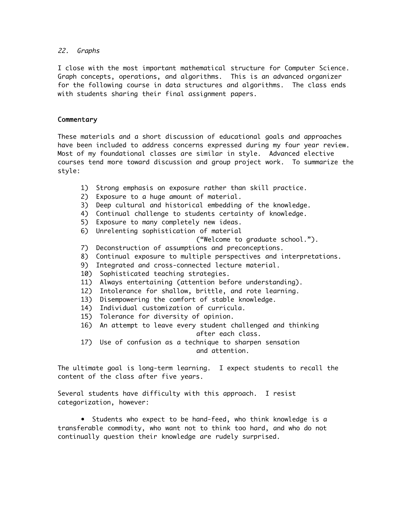# 22. Graphs

I close with the most important mathematical structure for Computer Science. Graph concepts, operations, and algorithms. This is an advanced organizer for the following course in data structures and algorithms. The class ends with students sharing their final assignment papers.

# **Commentary**

These materials and a short discussion of educational goals and approaches have been included to address concerns expressed during my four year review. Most of my foundational classes are similar in style. Advanced elective courses tend more toward discussion and group project work. To summarize the style:

- 1) Strong emphasis on exposure rather than skill practice.
- 2) Exposure to a huge amount of material.
- 3) Deep cultural and historical embedding of the knowledge.
- 4) Continual challenge to students certainty of knowledge.
- 5) Exposure to many completely new ideas.
- 6) Unrelenting sophistication of material
	- ("Welcome to graduate school.").
- 7) Deconstruction of assumptions and preconceptions.
- 8) Continual exposure to multiple perspectives and interpretations.
- 9) Integrated and cross-connected lecture material.
- 10) Sophisticated teaching strategies.
- 11) Always entertaining (attention before understanding).
- 12) Intolerance for shallow, brittle, and rote learning.
- 13) Disempowering the comfort of stable knowledge.
- 14) Individual customization of curricula.
- 15) Tolerance for diversity of opinion.
- 16) An attempt to leave every student challenged and thinking after each class.
- 17) Use of confusion as a technique to sharpen sensation and attention.

The ultimate goal is long-term learning. I expect students to recall the content of the class after five years.

Several students have difficulty with this approach. I resist categorization, however:

• Students who expect to be hand-feed, who think knowledge is a transferable commodity, who want not to think too hard, and who do not continually question their knowledge are rudely surprised.